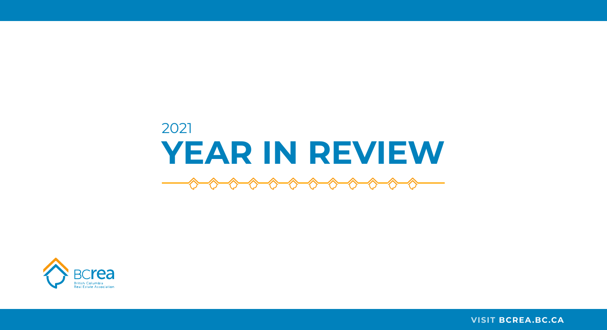#### **VISIT [BCREA.BC.CA](https://www.bcrea.bc.ca/)**

# 2021 **YEAR IN REVIEW**

 $\begin{picture}(180,10) \put(0,0){\line(1,0){10}} \put(10,0){\line(1,0){10}} \put(10,0){\line(1,0){10}} \put(10,0){\line(1,0){10}} \put(10,0){\line(1,0){10}} \put(10,0){\line(1,0){10}} \put(10,0){\line(1,0){10}} \put(10,0){\line(1,0){10}} \put(10,0){\line(1,0){10}} \put(10,0){\line(1,0){10}} \put(10,0){\line(1,0){10}} \put(10,0){\line($ 

 $\rightsquigarrow$ 

 $\curvearrowleft$ 

╱

 $\rightsquigarrow$ 

 $\rightsquigarrow$ 

╱

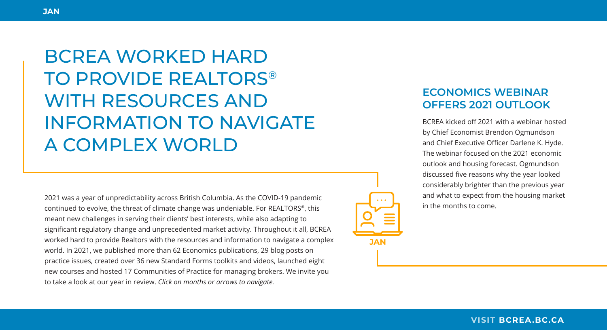2021 was a year of unpredictability across British Columbia. As the COVID-19 pandemic continued to evolve, the threat of climate change was undeniable. For REALTORS®, this meant new challenges in serving their clients' best interests, while also adapting to significant regulatory change and unprecedented market activity. Throughout it all, BCREA worked hard to provide Realtors with the resources and information to navigate a complex world. In 2021, we published more than 62 Economics publications, 29 blog posts on practice issues, created over 36 new Standard Forms toolkits and videos, launched eight new courses and hosted 17 Communities of Practice for managing brokers. We invite you to take a look at our year in review. *Click on months or arrows to navigate.*

BCREA kicked off 2021 with a webinar hosted by Chief Economist Brendon Ogmundson and Chief Executive Officer Darlene K. Hyde. The webinar focused on the 2021 economic outlook and housing forecast. Ogmundson discussed five reasons why the year looked considerably brighter than the previous year and what to expect from the housing market in the months to come.

### **ECONOMICS WEBINAR OFFERS 2021 OUTLOOK**



BCREA WORKED HARD TO PROVIDE REALTORS® WITH RESOURCES AND INFORMATION TO NAVIGATE A COMPLEX WORLD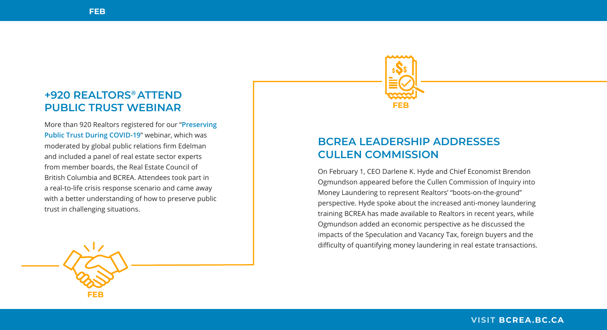More than 920 Realtors registered for our "**[Preserving](https://www.youtube.com/watch?v=_60o7BOIXvk)  [Public Trust During COVID-19](https://www.youtube.com/watch?v=_60o7BOIXvk)**" webinar, which was moderated by global public relations firm Edelman and included a panel of real estate sector experts from member boards, the Real Estate Council of British Columbia and BCREA. Attendees took part in a real-to-life crisis response scenario and came away with a better understanding of how to preserve public trust in challenging situations.

### **+920 REALTORS® ATTEND PUBLIC TRUST WEBINAR**

On February 1, CEO Darlene K. Hyde and Chief Economist Brendon Ogmundson appeared before the Cullen Commission of Inquiry into Money Laundering to represent Realtors' "boots-on-the-ground" perspective. Hyde spoke about the increased anti-money laundering training BCREA has made available to Realtors in recent years, while Ogmundson added an economic perspective as he discussed the impacts of the Speculation and Vacancy Tax, foreign buyers and the difficulty of quantifying money laundering in real estate transactions.

### **BCREA LEADERSHIP ADDRESSES CULLEN COMMISSION**



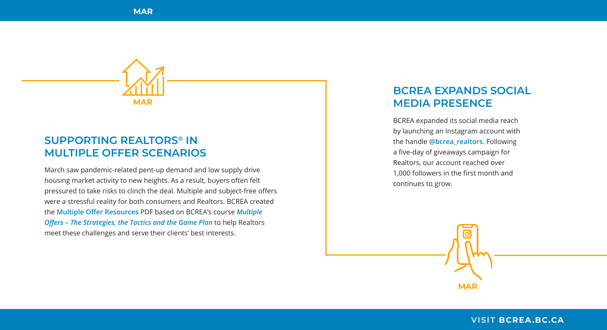BCREA expanded its social media reach by launching an Instagram account with the handle **[@bcrea\\_realtors](https://www.instagram.com/bcrea_realtors/)**. Following a five-day of giveaways campaign for Realtors, our account reached over 1,000 followers in the first month and continues to grow.

### **BCREA EXPANDS SOCIAL MAR MEDIA PRESENCE**

### **SUPPORTING REALTORS® IN MULTIPLE OFFER SCENARIOS**



March saw pandemic-related pent-up demand and low supply drive housing market activity to new heights. As a result, buyers often felt pressured to take risks to clinch the deal. Multiple and subject-free offers were a stressful reality for both consumers and Realtors. BCREA created the **[Multiple Offer Resources](https://secure.realtorlink.ca/naflogin/naflogin.aspx?SiteDomain=www.realtorlink.ca&targetUrl=https%3A%2F%2Fwww.realtorlink.ca%2Fcontent%2Fdam%2Frealtorlink%2Fbc%2Fbcrea%2Ftools-resources%2Fstandard-forms%2FMultiple%2520Offer%2520Resources.pdf)** PDF based on BCREA's course *[Multiple](https://www.bcrea.bc.ca/course-summary/970/multiple-offers-the-strategies-the-tactics-and-the-game-plan/)  [Offers – The Strategies, the Tactics and the Game Plan](https://www.bcrea.bc.ca/course-summary/970/multiple-offers-the-strategies-the-tactics-and-the-game-plan/)* to help Realtors meet these challenges and serve their clients' best interests.

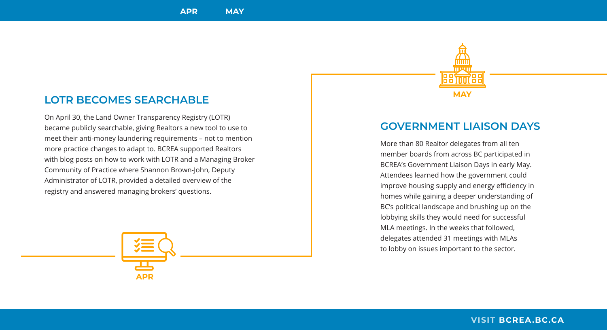### **LOTR BECOMES SEARCHABLE**

On April 30, the Land Owner Transparency Registry (LOTR) became publicly searchable, giving Realtors a new tool to use to meet their anti-money laundering requirements – not to mention more practice changes to adapt to. BCREA supported Realtors with blog posts on how to work with LOTR and a Managing Broker Community of Practice where Shannon Brown-John, Deputy Administrator of LOTR, provided a detailed overview of the registry and answered managing brokers' questions.

### **GOVERNMENT LIAISON DAYS**

More than 80 Realtor delegates from all ten member boards from across BC participated in BCREA's Government Liaison Days in early May. Attendees learned how the government could improve housing supply and energy efficiency in homes while gaining a deeper understanding of BC's political landscape and brushing up on the lobbying skills they would need for successful MLA meetings. In the weeks that followed, delegates attended 31 meetings with MLAs to lobby on issues important to the sector.



**MAY**

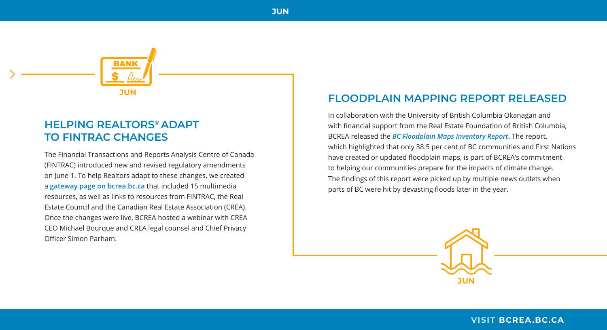The Financial Transactions and Reports Analysis Centre of Canada (FINTRAC) introduced new and revised regulatory amendments on June 1. To help Realtors adapt to these changes, we created a **[gateway page on bcrea.bc.ca](https://www.bcrea.bc.ca/practice-tips/2021-changes-to-your-anti-money-laundering-obligations/)** that included 15 multimedia resources, as well as links to resources from FINTRAC, the Real Estate Council and the Canadian Real Estate Association (CREA). Once the changes were live, BCREA hosted a webinar with CREA CEO Michael Bourque and CREA legal counsel and Chief Privacy Officer Simon Parham.

**HELPING REALTORS® ADAPT TO FINTRAC CHANGES**



In collaboration with the University of British Columbia Okanagan and with financial support from the Real Estate Foundation of British Columbia, BCREA released the *[BC Floodplain Maps Inventory Report](https://www.bcrea.bc.ca/wp-content/uploads/2021-05FloodplainMapsInventory.pdf)*. The report, which highlighted that only 38.5 per cent of BC communities and First Nations have created or updated floodplain maps, is part of BCREA's commitment to helping our communities prepare for the impacts of climate change. The findings of this report were picked up by multiple news outlets when parts of BC were hit by devasting floods later in the year.

### **FLOODPLAIN MAPPING REPORT RELEASED**

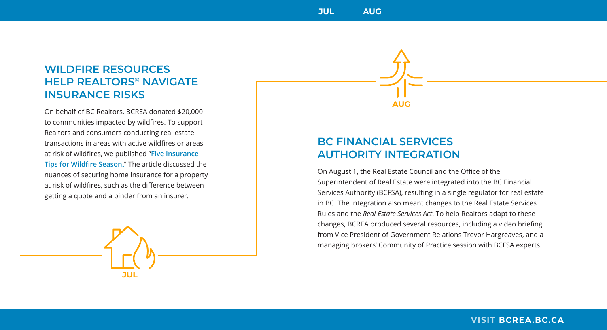### **WILDFIRE RESOURCES HELP REALTORS® NAVIGATE INSURANCE RISKS**

On behalf of BC Realtors, BCREA donated \$20,000 to communities impacted by wildfires. To support Realtors and consumers conducting real estate transactions in areas with active wildfires or areas at risk of wildfires, we published "**[Five Insurance](https://www.bcrea.bc.ca/practice-tips/five-insurance-tips-for-wildfire-season/)  [Tips for Wildfire Season](https://www.bcrea.bc.ca/practice-tips/five-insurance-tips-for-wildfire-season/).**" The article discussed the nuances of securing home insurance for a property at risk of wildfires, such as the difference between getting a quote and a binder from an insurer.

**JUL**

On August 1, the Real Estate Council and the Office of the Superintendent of Real Estate were integrated into the BC Financial Services Authority (BCFSA), resulting in a single regulator for real estate in BC. The integration also meant changes to the Real Estate Services Rules and the *Real Estate Services Act*. To help Realtors adapt to these changes, BCREA produced several resources, including a video briefing from Vice President of Government Relations Trevor Hargreaves, and a managing brokers' Community of Practice session with BCFSA experts.

### **BC FINANCIAL SERVICES AUTHORITY INTEGRATION**

**AUG**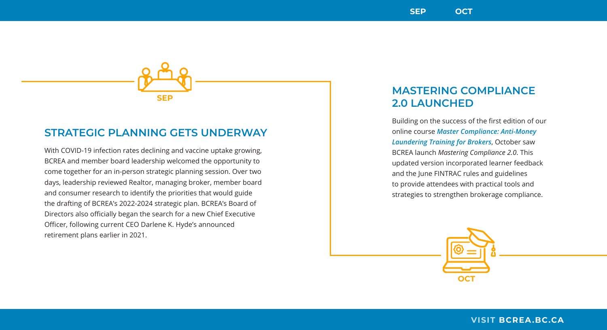Building on the success of the first edition of our online course *[Master Compliance: Anti-Money](https://www.bcrea.bc.ca/course-summary/Mastering-Compliance-Anti-Money-Laundering-Training-for-Brokers-Program/)  [Laundering Training for Brokers](https://www.bcrea.bc.ca/course-summary/Mastering-Compliance-Anti-Money-Laundering-Training-for-Brokers-Program/)*, October saw BCREA launch *Mastering Compliance 2.0*. This updated version incorporated learner feedback and the June FINTRAC rules and guidelines to provide attendees with practical tools and strategies to strengthen brokerage compliance.

### **MASTERING COMPLIANCE 2.0 LAUNCHED**



With COVID-19 infection rates declining and vaccine uptake growing, BCREA and member board leadership welcomed the opportunity to come together for an in-person strategic planning session. Over two days, leadership reviewed Realtor, managing broker, member board and consumer research to identify the priorities that would guide the drafting of BCREA's 2022-2024 strategic plan. BCREA's Board of Directors also officially began the search for a new Chief Executive Officer, following current CEO Darlene K. Hyde's announced retirement plans earlier in 2021.

### **STRATEGIC PLANNING GETS UNDERWAY**

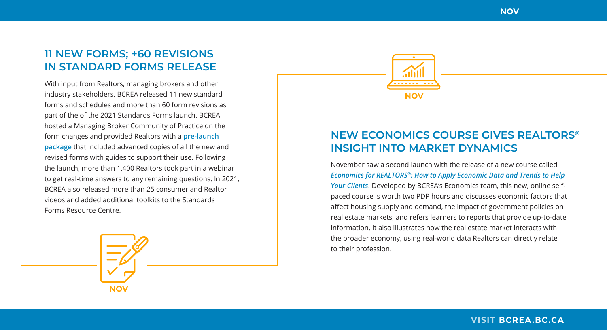

November saw a second launch with the release of a new course called *Economics for REALTORS®[: How to Apply Economic Data and Trends to Help](https://www.bcrea.bc.ca/course-summary/Economics-for-REALTORS-How-to-Apply-Economic-Data-and-Trends-to-Help-Your-Clients/)  [Your Clients](https://www.bcrea.bc.ca/course-summary/Economics-for-REALTORS-How-to-Apply-Economic-Data-and-Trends-to-Help-Your-Clients/)*. Developed by BCREA's Economics team, this new, online selfpaced course is worth two PDP hours and discusses economic factors that affect housing supply and demand, the impact of government policies on real estate markets, and refers learners to reports that provide up-to-date information. It also illustrates how the real estate market interacts with the broader economy, using real-world data Realtors can directly relate to their profession.

With input from Realtors, managing brokers and other industry stakeholders, BCREA released 11 new standard forms and schedules and more than 60 form revisions as part of the of the 2021 Standards Forms launch. BCREA hosted a Managing Broker Community of Practice on the form changes and provided Realtors with a **[pre-launch](https://secure.realtorlink.ca/naflogin/naflogin.aspx?SiteDomain=www.realtorlink.ca&targetUrl=https%3A%2F%2Fwww.realtorlink.ca%2Fcontent%2Fdam%2Frealtorlink%2Fbc%2Fbcrea%2Ftools-resources%2Fstandard-forms%2FBCREAStandardFormsNov2021PreLaunchPackage.pdf)  [package](https://secure.realtorlink.ca/naflogin/naflogin.aspx?SiteDomain=www.realtorlink.ca&targetUrl=https%3A%2F%2Fwww.realtorlink.ca%2Fcontent%2Fdam%2Frealtorlink%2Fbc%2Fbcrea%2Ftools-resources%2Fstandard-forms%2FBCREAStandardFormsNov2021PreLaunchPackage.pdf)** that included advanced copies of all the new and revised forms with guides to support their use. Following the launch, more than 1,400 Realtors took part in a webinar to get real-time answers to any remaining questions. In 2021, BCREA also released more than 25 consumer and Realtor videos and added additional toolkits to the Standards Forms Resource Centre.

### **11 NEW FORMS; +60 REVISIONS IN STANDARD FORMS RELEASE**

### **NEW ECONOMICS COURSE GIVES REALTORS® INSIGHT INTO MARKET DYNAMICS**

**NOV**